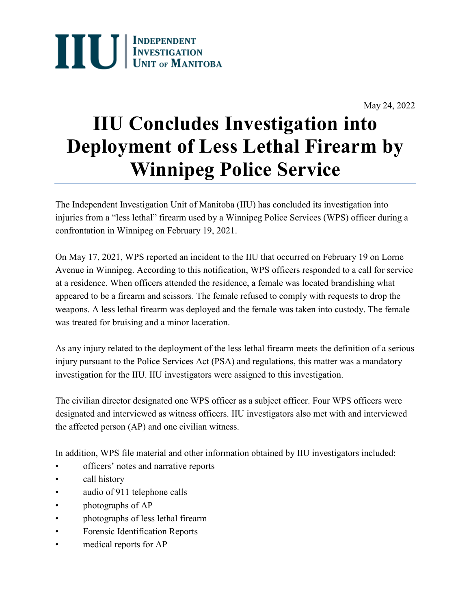

May 24, 2022

## **IIU Concludes Investigation into Deployment of Less Lethal Firearm by Winnipeg Police Service**

The Independent Investigation Unit of Manitoba (IIU) has concluded its investigation into injuries from a "less lethal" firearm used by a Winnipeg Police Services (WPS) officer during a confrontation in Winnipeg on February 19, 2021.

On May 17, 2021, WPS reported an incident to the IIU that occurred on February 19 on Lorne Avenue in Winnipeg. According to this notification, WPS officers responded to a call for service at a residence. When officers attended the residence, a female was located brandishing what appeared to be a firearm and scissors. The female refused to comply with requests to drop the weapons. A less lethal firearm was deployed and the female was taken into custody. The female was treated for bruising and a minor laceration.

As any injury related to the deployment of the less lethal firearm meets the definition of a serious injury pursuant to the Police Services Act (PSA) and regulations, this matter was a mandatory investigation for the IIU. IIU investigators were assigned to this investigation.

The civilian director designated one WPS officer as a subject officer. Four WPS officers were designated and interviewed as witness officers. IIU investigators also met with and interviewed the affected person (AP) and one civilian witness.

In addition, WPS file material and other information obtained by IIU investigators included:

- officers' notes and narrative reports
- call history
- audio of 911 telephone calls
- photographs of AP
- photographs of less lethal firearm
- Forensic Identification Reports
- medical reports for AP